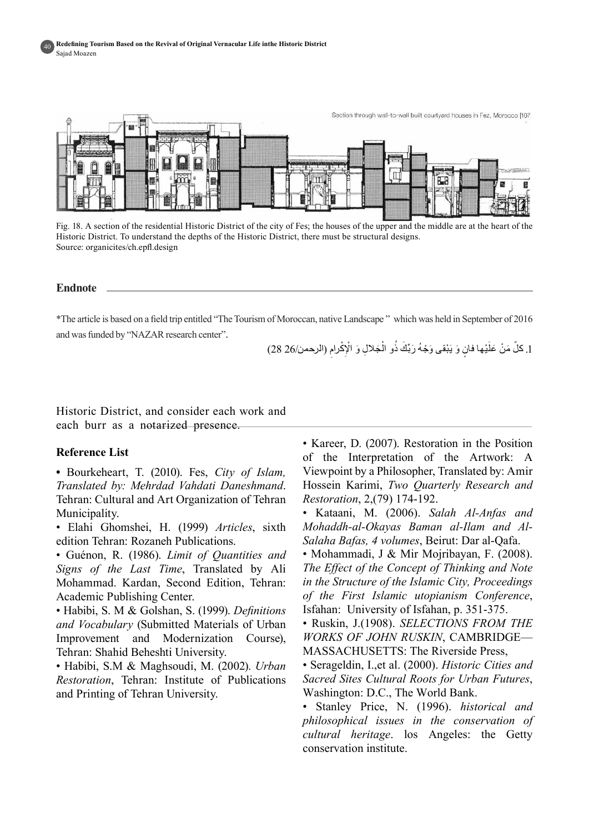

Fig. 18. A section of the residential Historic District of the city of Fes; the houses of the upper and the middle are at the heart of the Historic District. To understand the depths of the Historic District, there must be structural designs. Source: organicites/ch.epfl.design

#### **Endnote**

\*The article is based on a field trip entitled "The Tourism of Moroccan, native Landscape" which was held in September of 2016 and was funded by "NAZAR research center".

> 1. كلّ مَنْ عَلَيْها فانٍ وَ يَبْقى وَجْهُ رَبِّكَ ذُو الْجَلالِ وَ الْإِكْرامِ (الرحمن/26 28) **ٔ** ؚ<br>ׇׇׇ֧֡֬֝<u>֚</u> ؘ<br>ا ĺ

Historic District, and consider each work and each burr as a notarized presence.

## **Reference** List

• Bourkeheart, T. (2010). Fes, City of Islam, Translated by: Mehrdad Vahdati Daneshmand. Tehran: Cultural and Art Organization of Tehran .Municipality

• Elahi Ghomshei, H. (1999) Articles, sixth edition Tehran: Rozaneh Publications.

• Guénon, R. (1986). *Limit of Quantities and* Signs of the Last Time. Translated by Ali Mohammad. Kardan, Second Edition, Tehran: Academic Publishing Center.

• Habibi, S. M & Golshan, S. (1999). *Definitions* and *Vocabulary* (Submitted Materials of Urban Improvement and Modernization Course), Tehran: Shahid Beheshti University.

• Habibi, S.M & Maghsoudi, M. (2002). *Urban Restoration*, Tehran: Institute of Publications and Printing of Tehran University.

• Kareer, D. (2007). Restoration in the Position of the Interpretation of the Artwork: A Viewpoint by a Philosopher, Translated by: Amir **Hossein Karimi, Two Quarterly Research and** Restoration, 2,(79) 174-192.

• Kataani, M. (2006). Salah Al-Anfas and Salaha Bafas, 4 volumes, Beirut: Dar al-Qafa. *Mohaddh-al-Okayas Baman al-Ilam and Al-*

• Mohammadi, J & Mir Mojribayan, F.  $(2008)$ . *The Effect of the Concept of Thinking and Note in the Structure of the Islamic City, Proceedings* of the First Islamic utopianism Conference, Isfahan: University of Isfahan, p. 351-375.

• Ruskin, J.(1908). SELECTIONS FROM THE **WORKS OF JOHN RUSKIN, CAMBRIDGE-**MASSACHUSETTS: The Riverside Press,

• Serageldin, I.,et al. (2000). *Historic Cities and* Sacred Sites Cultural Roots for Urban Futures, Washington: D.C., The World Bank.

• Stanley Price, N. (1996). *historical and philosophical issues in the conservation of* cultural heritage. los Angeles: the Getty conservation institute.

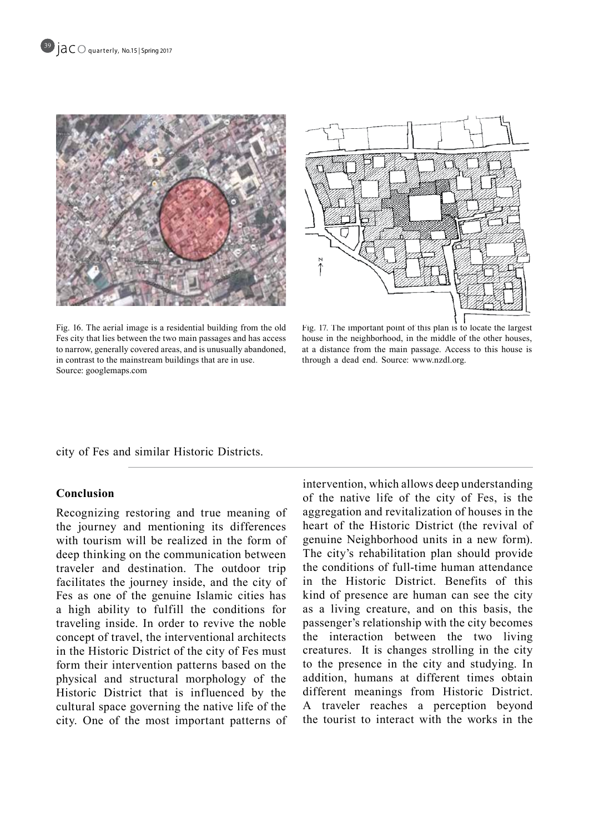



Fig. 16. The aerial image is a residential building from the old Fes city that lies between the two main passages and has access to narrow, generally covered areas, and is unusually abandoned, in contrast to the mainstream buildings that are in use. Source: googlemaps.com

Fig. 17. The important point of this plan is to locate the largest house in the neighborhood, in the middle of the other houses, at a distance from the main passage. Access to this house is through a dead end. Source: www.nzdl.org.

city of Fes and similar Historic Districts.

## **Conclusion**

Recognizing restoring and true meaning of the journey and mentioning its differences with tourism will be realized in the form of deep thinking on the communication between traveler and destination. The outdoor trip facilitates the journey inside, and the city of Fes as one of the genuine Islamic cities has a high ability to fulfill the conditions for traveling inside. In order to revive the noble concept of travel, the interventional architects in the Historic District of the city of Fes must form their intervention patterns based on the physical and structural morphology of the Historic District that is influenced by the cultural space governing the native life of the city. One of the most important patterns of intervention, which allows deep understanding of the native life of the city of Fes, is the aggregation and revitalization of houses in the heart of the Historic District (the revival of genuine Neighborhood units in a new form). The city's rehabilitation plan should provide the conditions of full-time human attendance in the Historic District. Benefits of this kind of presence are human can see the city as a living creature, and on this basis, the passenger's relationship with the city becomes the interaction between the two living creatures. It is changes strolling in the city to the presence in the city and studying. In addition, humans at different times obtain different meanings from Historic District. A traveler reaches a perception beyond the tourist to interact with the works in the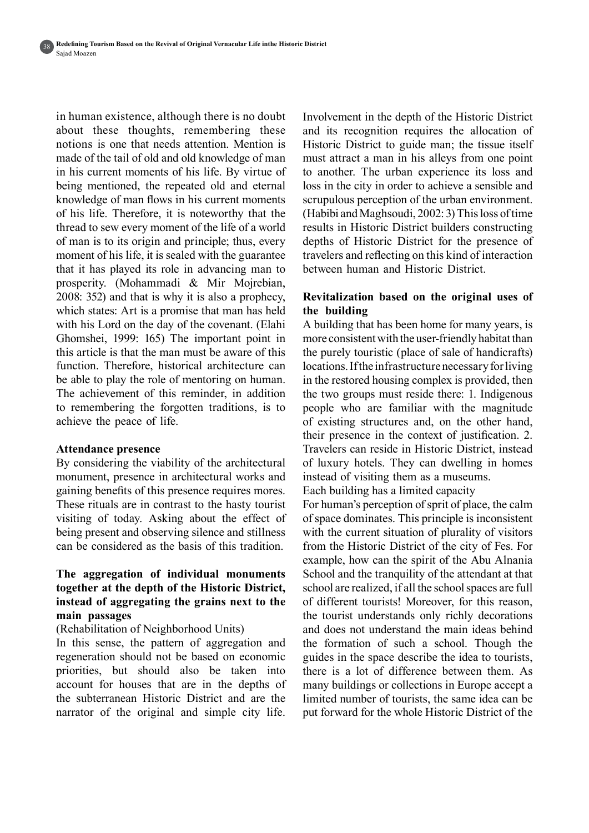in human existence, although there is no doubt about these thoughts, remembering these notions is one that needs attention. Mention is made of the tail of old and old knowledge of man in his current moments of his life. By virtue of being mentioned, the repeated old and eternal knowledge of man flows in his current moments of his life. Therefore, it is noteworthy that the thread to sew every moment of the life of a world of man is to its origin and principle; thus, every moment of his life, it is sealed with the guarantee that it has played its role in advancing man to prosperity. (Mohammadi  $\&$  Mir Mojrebian,  $2008$ : 352) and that is why it is also a prophecy, which states: Art is a promise that man has held with his Lord on the day of the covenant. (Elahi Ghomshei, 1999: 165) The important point in this article is that the man must be aware of this function. Therefore, historical architecture can be able to play the role of mentoring on human. The achievement of this reminder, in addition to remembering the forgotten traditions, is to achieve the peace of life.

#### **Attendance presence**

By considering the viability of the architectural monument, presence in architectural works and gaining benefits of this presence requires mores. These rituals are in contrast to the hasty tourist visiting of today. Asking about the effect of being present and observing silence and stillness can be considered as the basis of this tradition.

## The aggregation of individual monuments together at the depth of the Historic District, **the instead of aggregating the grains next to the passages main**

(Rehabilitation of Neighborhood Units)

In this sense, the pattern of aggregation and regeneration should not be based on economic priorities, but should also be taken into account for houses that are in the depths of the subterranean Historic District and are the narrator of the original and simple city life.

Involvement in the depth of the Historic District and its recognition requires the allocation of Historic District to guide man; the tissue itself must attract a man in his alleys from one point to another. The urban experience its loss and loss in the city in order to achieve a sensible and scrupulous perception of the urban environment.  $(Habibi and Maghsoudi, 2002: 3)$  This loss of time results in Historic District builders constructing depths of Historic District for the presence of travelers and reflecting on this kind of interaction between human and Historic District.

## Revitalization based on the original uses of **building the**

A building that has been home for many years, is more consistent with the user-friendly habitat than the purely touristic (place of sale of handicrafts) locations. If the infrastructure necessary for living. in the restored housing complex is provided, then the two groups must reside there: 1. Indigenous people who are familiar with the magnitude of existing structures and, on the other hand, their presence in the context of justification. 2. Travelers can reside in Historic District, instead of luxury hotels. They can dwelling in homes instead of visiting them as a museums.

Each building has a limited capacity

For human's perception of sprit of place, the calm of space dominates. This principle is inconsistent with the current situation of plurality of visitors from the Historic District of the city of Fes. For example, how can the spirit of the Abu Alnania School and the tranquility of the attendant at that school are realized, if all the school spaces are full of different tourists! Moreover, for this reason. the tourist understands only richly decorations and does not understand the main ideas behind the formation of such a school. Though the guides in the space describe the idea to tourists. there is a lot of difference between them. As many buildings or collections in Europe accept a limited number of tourists, the same idea can be put forward for the whole Historic District of the

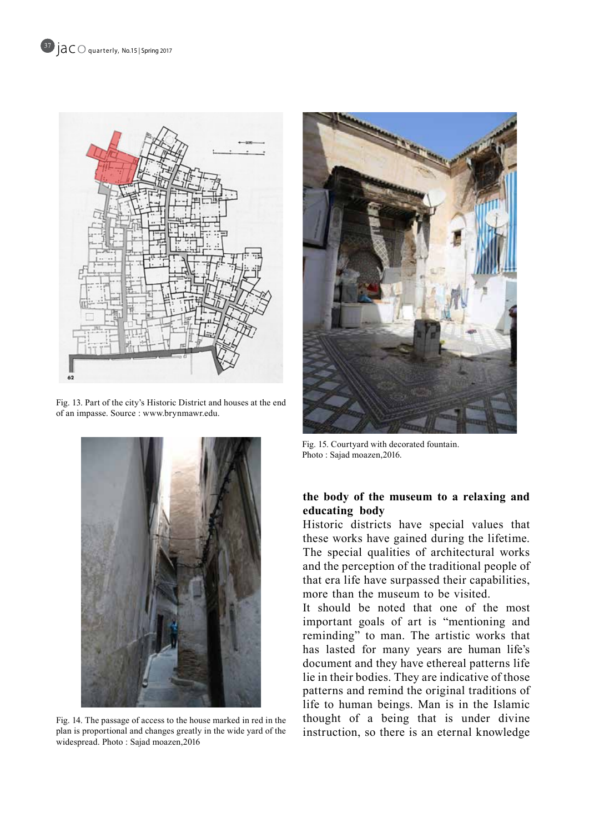Fig. 13. Part of the city's Historic District and houses at the end of an impasse. Source : www.brynmawr.edu.



Fig. 14. The passage of access to the house marked in red in the plan is proportional and changes greatly in the wide yard of the widespread. Photo : Sajad moazen, 2016



Fig. 15. Courtyard with decorated fountain. Photo: Sajad moazen, 2016.

## the body of the museum to a relaxing and **body educating**

Historic districts have special values that these works have gained during the lifetime. The special qualities of architectural works and the perception of the traditional people of that era life have surpassed their capabilities, more than the museum to be visited.

It should be noted that one of the most important goals of art is "mentioning and reminding" to man. The artistic works that has lasted for many years are human life's document and they have ethereal patterns life lie in their bodies. They are indicative of those patterns and remind the original traditions of life to human beings. Man is in the Islamic thought of a being that is under divine instruction, so there is an eternal knowledge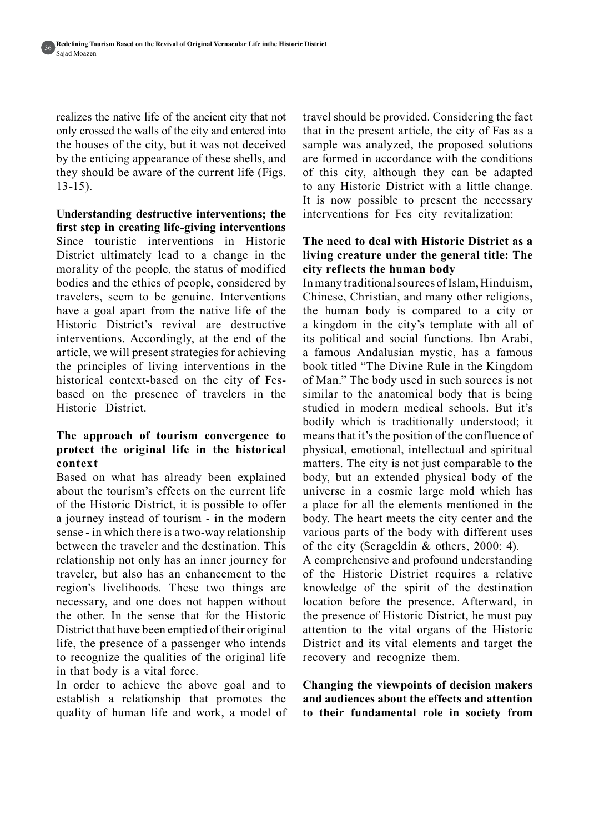realizes the native life of the ancient city that not only crossed the walls of the city and entered into the houses of the city, but it was not deceived by the enticing appearance of these shells, and they should be aware of the current life (Figs.  $13-15$ ).

**Understanding destructive interventions; the** first step in creating life-giving interventions Since touristic interventions in Historic District ultimately lead to a change in the morality of the people, the status of modified bodies and the ethics of people, considered by travelers, seem to be genuine. Interventions have a goal apart from the native life of the Historic District's revival are destructive interventions. Accordingly, at the end of the article, we will present strategies for achieving the principles of living interventions in the based on the presence of travelers in the historical context-based on the city of Fes-Historic District.

## The approach of tourism convergence to protect the original life in the historical **context**

Based on what has already been explained about the tourism's effects on the current life of the Historic District, it is possible to offer a journey instead of tourism - in the modern sense - in which there is a two-way relationship between the traveler and the destination. This relationship not only has an inner journey for traveler, but also has an enhancement to the region's livelihoods. These two things are necessary, and one does not happen without the other. In the sense that for the Historic District that have been emptied of their original life, the presence of a passenger who intends to recognize the qualities of the original life in that body is a vital force.

In order to achieve the above goal and to establish a relationship that promotes the quality of human life and work, a model of travel should be provided. Considering the fact that in the present article, the city of Fas as a sample was analyzed, the proposed solutions are formed in accordance with the conditions of this city, although they can be adapted to any Historic District with a little change. It is now possible to present the necessary interventions for Fes city revitalization:

## **The need to deal with Historic District as a The index is set if the under the general title: The** city reflects the human body

In many traditional sources of Islam, Hinduism, Chinese, Christian, and many other religions, the human body is compared to a city or a kingdom in the city's template with all of its political and social functions. Ibn Arabi, a famous Andalusian mystic, has a famous book titled "The Divine Rule in the Kingdom of Man." The body used in such sources is not similar to the anatomical body that is being studied in modern medical schools. But it's bodily which is traditionally understood; it means that it's the position of the confluence of physical, emotional, intellectual and spiritual matters. The city is not just comparable to the body, but an extended physical body of the universe in a cosmic large mold which has a place for all the elements mentioned in the body. The heart meets the city center and the various parts of the body with different uses of the city (Serageldin  $&$  others, 2000: 4).

A comprehensive and profound understanding of the Historic District requires a relative knowledge of the spirit of the destination location before the presence. Afterward, in the presence of Historic District, he must pay attention to the vital organs of the Historic District and its vital elements and target the recovery and recognize them.

**Changing the viewpoints of decision makers** and audiences about the effects and attention to their fundamental role in society from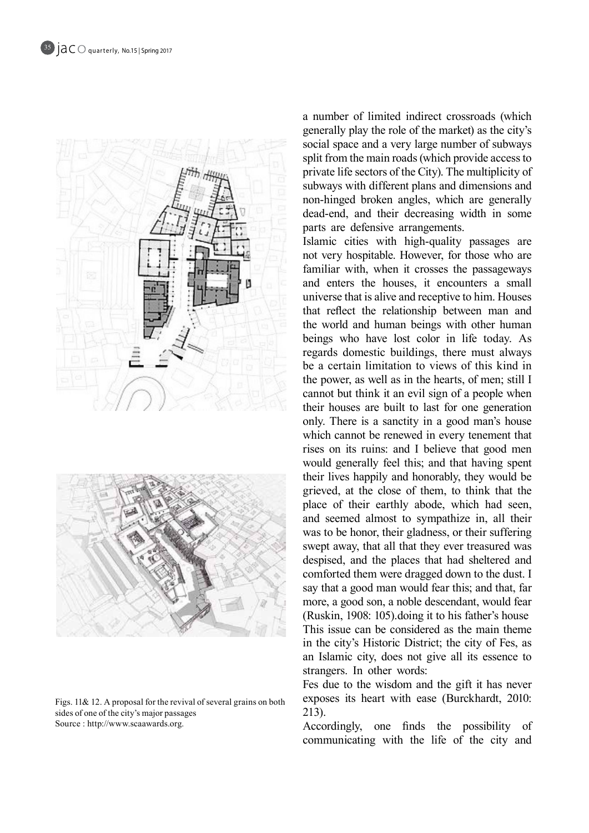

Figs.  $11\& 12$ . A proposal for the revival of several grains on both sides of one of the city's major passages Source : http://www.scaawards.org.

a number of limited indirect crossroads (which generally play the role of the market) as the city's social space and a very large number of subways split from the main roads (which provide access to private life sectors of the City). The multiplicity of subways with different plans and dimensions and non-hinged broken angles, which are generally dead-end, and their decreasing width in some parts are defensive arrangements.

Islamic cities with high-quality passages are not very hospitable. However, for those who are familiar with, when it crosses the passageways and enters the houses, it encounters a small universe that is alive and receptive to him. Houses that reflect the relationship between man and the world and human beings with other human beings who have lost color in life today. As regards domestic buildings, there must always be a certain limitation to views of this kind in the power, as well as in the hearts, of men; still I cannot but think it an evil sign of a people when their houses are built to last for one generation only. There is a sanctity in a good man's house which cannot be renewed in every tenement that rises on its ruins: and I believe that good men would generally feel this; and that having spent their lives happily and honorably, they would be grieved, at the close of them, to think that the place of their earthly abode, which had seen. and seemed almost to sympathize in, all their was to be honor, their gladness, or their suffering swept away, that all that they ever treasured was despised, and the places that had sheltered and comforted them were dragged down to the dust. I say that a good man would fear this; and that, far more, a good son, a noble descendant, would fear (Ruskin, 1908: 105) doing it to his father's house This issue can be considered as the main theme in the city's Historic District; the city of Fes, as an Islamic city, does not give all its essence to strangers. In other words:

Fes due to the wisdom and the gift it has never exposes its heart with ease (Burckhardt, 2010: 213).

Accordingly, one finds the possibility of communicating with the life of the city and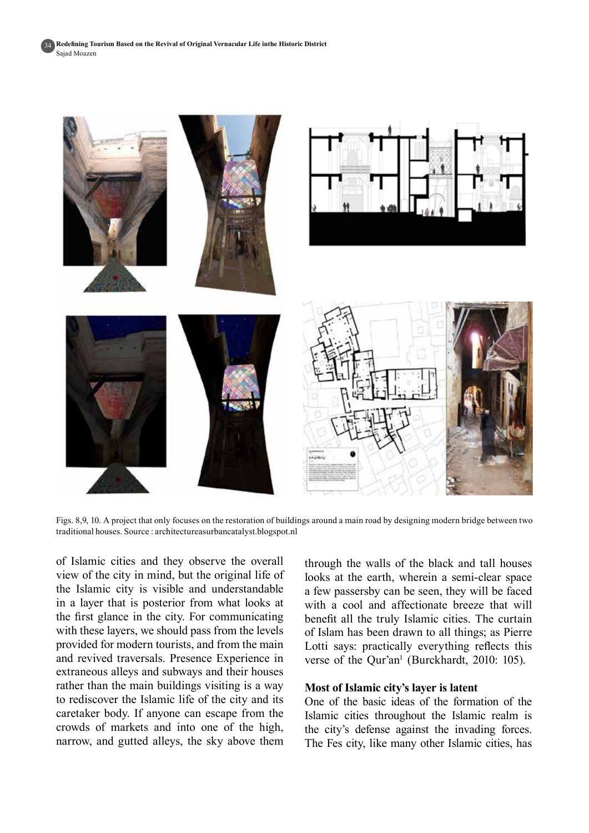34



Figs. 8,9, 10. A project that only focuses on the restoration of buildings around a main road by designing modern bridge between two traditional houses. Source : architectureasurbancatalyst blogspot.nl

of Islamic cities and they observe the overall view of the city in mind, but the original life of the Islamic city is visible and understandable in a layer that is posterior from what looks at the first glance in the city. For communicating with these layers, we should pass from the levels provided for modern tourists, and from the main and revived traversals. Presence Experience in extraneous alleys and subways and their houses rather than the main buildings visiting is a way to rediscover the Islamic life of the city and its caretaker body. If anyone can escape from the crowds of markets and into one of the high, narrow, and gutted alleys, the sky above them

through the walls of the black and tall houses looks at the earth, wherein a semi-clear space a few passersby can be seen, they will be faced with a cool and affectionate breeze that will benefit all the truly Islamic cities. The curtain of Islam has been drawn to all things; as Pierre Lotti says: practically everything reflects this verse of the Qur'an<sup>1</sup> (Burckhardt, 2010: 105).

#### **Most of Islamic city's layer is latent**

One of the basic ideas of the formation of the Islamic cities throughout the Islamic realm is the city's defense against the invading forces. The Fes city, like many other Islamic cities, has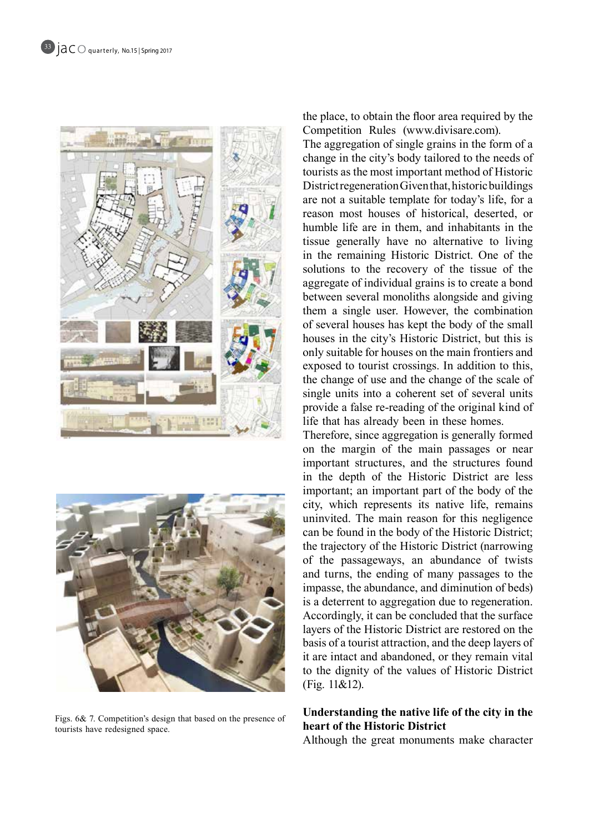



Figs.  $6& 7$ . Competition's design that based on the presence of tourists have redesigned space.

the place, to obtain the floor area required by the Competition Rules (www.divisare.com).

The aggregation of single grains in the form of a change in the city's body tailored to the needs of tourists as the most important method of Historic District regeneration Given that, historic buildings are not a suitable template for today's life, for a reason most houses of historical, deserted, or humble life are in them, and inhabitants in the tissue generally have no alternative to living in the remaining Historic District. One of the solutions to the recovery of the tissue of the aggregate of individual grains is to create a bond between several monoliths alongside and giving them a single user. However, the combination of several houses has kept the body of the small houses in the city's Historic District, but this is only suitable for houses on the main frontiers and exposed to tourist crossings. In addition to this, the change of use and the change of the scale of single units into a coherent set of several units provide a false re-reading of the original kind of life that has already been in these homes.

Therefore, since aggregation is generally formed on the margin of the main passages or near important structures, and the structures found in the depth of the Historic District are less important; an important part of the body of the city, which represents its native life, remains uninvited. The main reason for this negligence can be found in the body of the Historic District; the trajectory of the Historic District (narrowing of the passageways, an abundance of twists and turns, the ending of many passages to the impasse, the abundance, and diminution of beds) is a deterrent to aggregation due to regeneration. Accordingly, it can be concluded that the surface layers of the Historic District are restored on the basis of a tourist attraction, and the deep layers of it are intact and abandoned, or they remain vital to the dignity of the values of Historic District  $(Fig. 11&0.12)$ .

## **Understanding the native life of the city in the heart of the Historic District**

Although the great monuments make character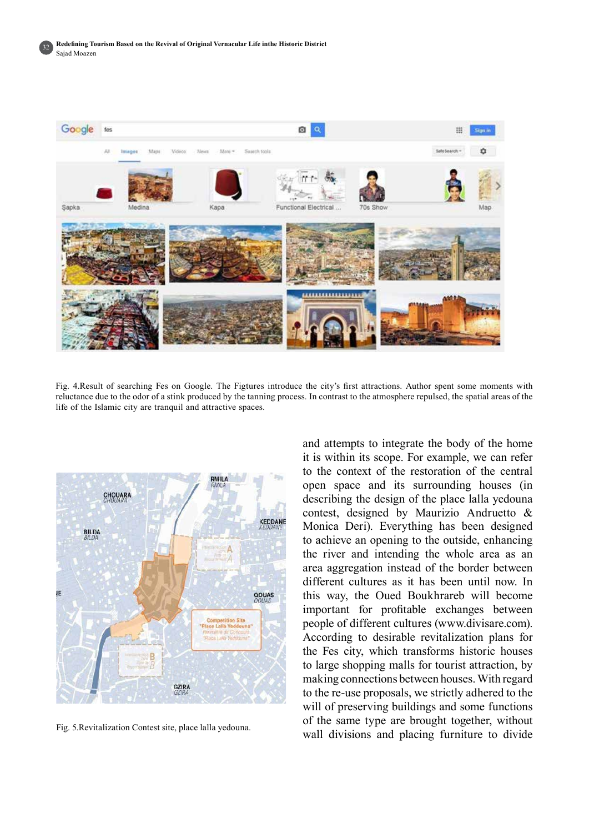

Fig. 4. Result of searching Fes on Google. The Figtures introduce the city's first attractions. Author spent some moments with reluctance due to the odor of a stink produced by the tanning process. In contrast to the atmosphere repulsed, the spatial areas of the life of the Islamic city are tranquil and attractive spaces.



Fig. 5.Revitalization Contest site, place lalla yedouna.

and attempts to integrate the body of the home it is within its scope. For example, we can refer to the context of the restoration of the central open space and its surrounding houses (in describing the design of the place talla yedouna contest, designed by Maurizio Andruetto  $\&$ Monica Deri). Everything has been designed to achieve an opening to the outside, enhancing the river and intending the whole area as an area aggregation instead of the border between different cultures as it has been until now. In this way, the Oued Boukhrareb will become important for profitable exchanges between people of different cultures (www.divisare.com). According to desirable revitalization plans for the Fes city, which transforms historic houses to large shopping malls for tourist attraction, by making connections between houses. With regard to the re-use proposals, we strictly adhered to the will of preserving buildings and some functions of the same type are brought together, without wall divisions and placing furniture to divide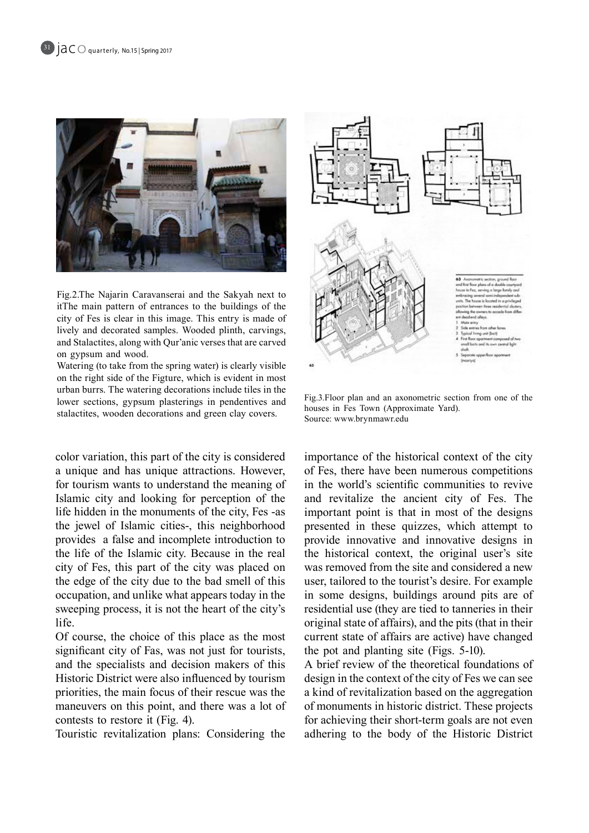

Fig.2.The Najarin Caravanserai and the Sakyah next to itThe main pattern of entrances to the buildings of the city of Fes is clear in this image. This entry is made of lively and decorated samples. Wooded plinth, carvings, and Stalactites, along with Qur'anic verses that are carved on gypsum and wood.

Watering (to take from the spring water) is clearly visible on the right side of the Figture, which is evident in most urban burrs. The watering decorations include tiles in the lower sections, gypsum plasterings in pendentives and stalactites, wooden decorations and green clay covers.

color variation, this part of the city is considered a unique and has unique attractions. However, for tourism wants to understand the meaning of Islamic city and looking for perception of the life hidden in the monuments of the city, Fes -as the jewel of Islamic cities-, this neighborhood provides a false and incomplete introduction to the life of the Islamic city. Because in the real city of Fes, this part of the city was placed on the edge of the city due to the bad smell of this occupation, and unlike what appears today in the sweeping process, it is not the heart of the city's life.

Of course, the choice of this place as the most significant city of Fas, was not just for tourists, and the specialists and decision makers of this Historic District were also influenced by tourism priorities, the main focus of their rescue was the maneuvers on this point, and there was a lot of contests to restore it (Fig. 4).

Touristic revitalization plans: Considering the



Fig. 3. Floor plan and an axonometric section from one of the houses in Fes Town (Approximate Yard). Source: www.brynmawr.edu

importance of the historical context of the city of Fes, there have been numerous competitions in the world's scientific communities to revive and revitalize the ancient city of Fes. The important point is that in most of the designs presented in these quizzes, which attempt to provide innovative and innovative designs in the historical context, the original user's site was removed from the site and considered a new user, tailored to the tourist's desire. For example in some designs, buildings around pits are of residential use (they are tied to tanneries in their original state of affairs), and the pits (that in their current state of affairs are active) have changed the pot and planting site (Figs.  $5-10$ ).

A brief review of the theoretical foundations of design in the context of the city of Fes we can see a kind of revitalization based on the aggregation of monuments in historic district. These projects for achieving their short-term goals are not even adhering to the body of the Historic District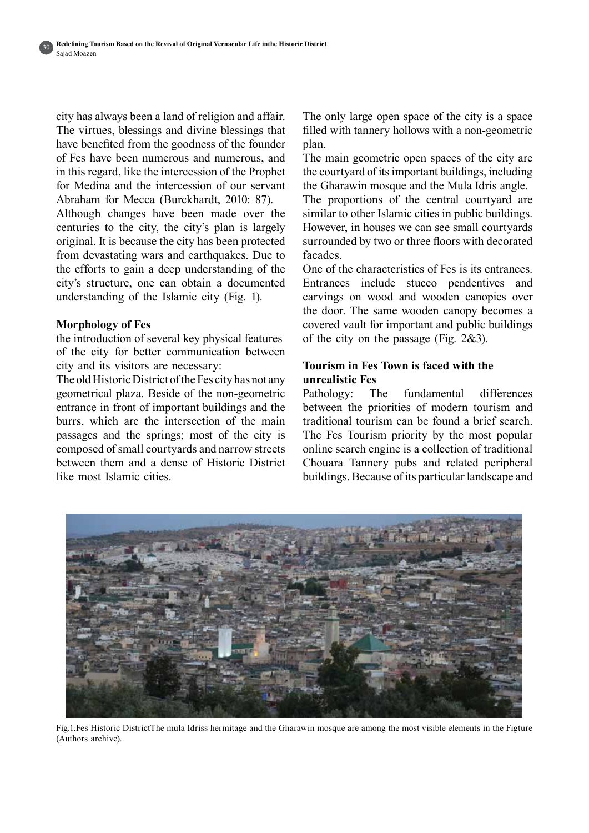city has always been a land of religion and affair. The virtues, blessings and divine blessings that have benefited from the goodness of the founder of Fes have been numerous and numerous, and in this regard, like the intercession of the Prophet for Medina and the intercession of our servant Abraham for Mecca (Burckhardt, 2010: 87).

Although changes have been made over the centuries to the city, the city's plan is largely priginal. It is because the city has been protected from devastating wars and earthquakes. Due to the efforts to gain a deep understanding of the city's structure, one can obtain a documented understanding of the Islamic city  $(Fig. 1)$ .

## **Morphology** of Fes

the introduction of several key physical features of the city for better communication between city and its visitors are necessary:

The old Historic District of the Fes city has not any geometrical plaza. Beside of the non-geometric entrance in front of important buildings and the burrs, which are the intersection of the main passages and the springs; most of the city is composed of small courtyards and narrow streets between them and a dense of Historic District like most Islamic cities

The only large open space of the city is a space filled with tannery hollows with a non-geometric plan.

The main geometric open spaces of the city are the courtyard of its important buildings, including the Gharawin mosque and the Mula Idris angle.

The proportions of the central courtyard are similar to other Islamic cities in public buildings. However, in houses we can see small courtyards surrounded by two or three floors with decorated .facades

One of the characteristics of Fes is its entrances. Entrances include stucco pendentives and carvings on wood and wooden canopies over the door. The same wooden canopy becomes a covered vault for important and public buildings of the city on the passage (Fig.  $2\&3$ ).

## **Tourism in Fes Town is faced with the unrealistic** Fes

Pathology: The fundamental differences between the priorities of modern tourism and traditional tourism can be found a brief search. The Fes Tourism priority by the most popular online search engine is a collection of traditional Chouara Tannery pubs and related peripheral buildings. Because of its particular landscape and



Fig.1.Fes Historic DistrictThe mula Idriss hermitage and the Gharawin mosque are among the most visible elements in the Figture (Authors archive).

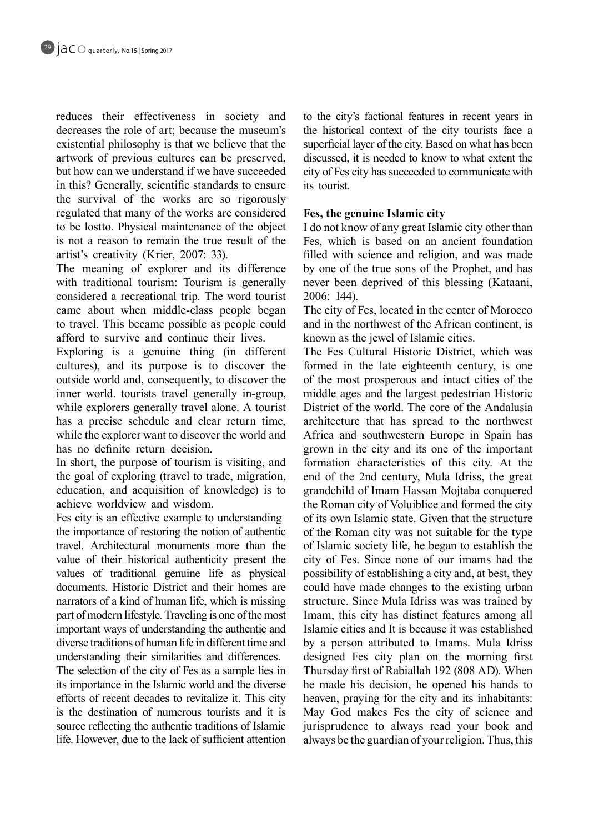reduces their effectiveness in society and decreases the role of art; because the museum's existential philosophy is that we believe that the artwork of previous cultures can be preserved, but how can we understand if we have succeeded in this? Generally, scientific standards to ensure the survival of the works are so rigorously regulated that many of the works are considered to be lostto. Physical maintenance of the object is not a reason to remain the true result of the artist's creativity (Krier, 2007: 33).

The meaning of explorer and its difference with traditional tourism: Tourism is generally considered a recreational trip. The word tourist came about when middle-class people began to travel. This became possible as people could afford to survive and continue their lives.

Exploring is a genuine thing  $(in$  different cultures), and its purpose is to discover the outside world and, consequently, to discover the inner world, tourists travel generally in-group, while explorers generally travel alone. A tourist has a precise schedule and clear return time, while the explorer want to discover the world and has no definite return decision.

In short, the purpose of tourism is visiting, and the goal of exploring (travel to trade, migration, education, and acquisition of knowledge) is to achieve worldview and wisdom.

Fes city is an effective example to understanding the importance of restoring the notion of authentic travel. Architectural monuments more than the value of their historical authenticity present the values of traditional genuine life as physical documents. Historic District and their homes are narrators of a kind of human life, which is missing part of modern lifestyle. Traveling is one of the most important ways of understanding the authentic and diverse traditions of human life in different time and understanding their similarities and differences.

The selection of the city of Fes as a sample lies in its importance in the Islamic world and the diverse efforts of recent decades to revitalize it. This city is the destination of numerous tourists and it is source reflecting the authentic traditions of Islamic life. However, due to the lack of sufficient attention to the city's factional features in recent years in the historical context of the city tourists face a superficial layer of the city. Based on what has been discussed, it is needed to know to what extent the city of Fes city has succeeded to communicate with its tourist.

## **Fes, the genuine Islamic city**

I do not know of any great Islamic city other than Fes, which is based on an ancient foundation filled with science and religion, and was made by one of the true sons of the Prophet, and has never been deprived of this blessing (Kataani, 2006: 144).

The city of Fes, located in the center of Morocco and in the northwest of the African continent, is known as the jewel of Islamic cities.

The Fes Cultural Historic District, which was formed in the late eighteenth century, is one of the most prosperous and intact cities of the middle ages and the largest pedestrian Historic District of the world. The core of the Andalusia architecture that has spread to the northwest Africa and southwestern Europe in Spain has grown in the city and its one of the important formation characteristics of this city. At the end of the 2nd century, Mula Idriss, the great grandchild of Imam Hassan Mojtaba conquered the Roman city of Voluiblice and formed the city of its own Islamic state. Given that the structure of the Roman city was not suitable for the type of Islamic society life, he began to establish the city of Fes. Since none of our imams had the possibility of establishing a city and, at best, they could have made changes to the existing urban structure. Since Mula Idriss was was trained by Imam, this city has distinct features among all Islamic cities and It is because it was established by a person attributed to Imams. Mula Idriss designed Fes city plan on the morning first Thursday first of Rabiallah 192 (808 AD). When he made his decision, he opened his hands to heaven, praying for the city and its inhabitants: May God makes Fes the city of science and jurisprudence to always read your book and always be the guardian of your religion. Thus, this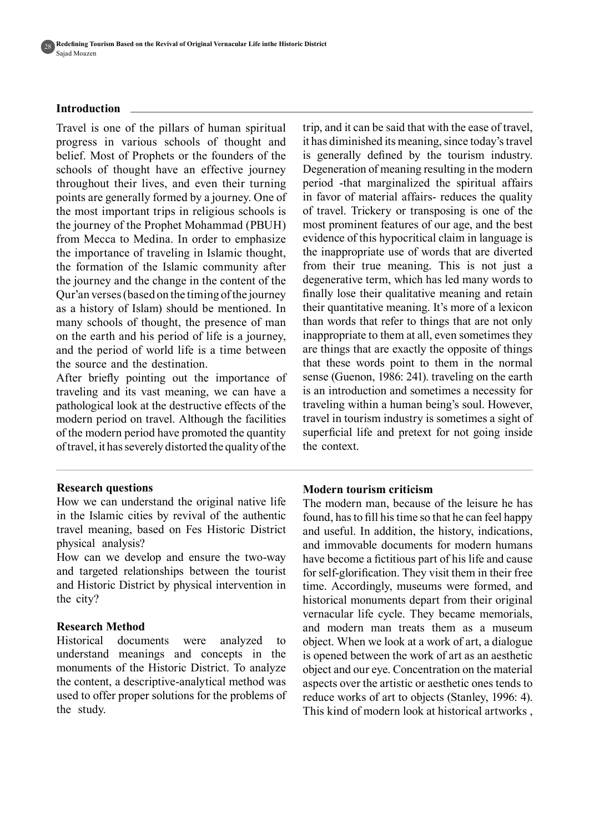#### **Introduction**

Travel is one of the pillars of human spiritual progress in various schools of thought and belief. Most of Prophets or the founders of the schools of thought have an effective journey throughout their lives, and even their turning points are generally formed by a journey. One of the most important trips in religious schools is the journey of the Prophet Mohammad (PBUH) from Mecca to Medina. In order to emphasize the importance of traveling in Islamic thought, the formation of the Islamic community after the journey and the change in the content of the Qur'an verses (based on the timing of the journey as a history of Islam) should be mentioned. In many schools of thought, the presence of man on the earth and his period of life is a journey, and the period of world life is a time between the source and the destination.

After briefly pointing out the importance of traveling and its vast meaning, we can have a pathological look at the destructive effects of the modern period on travel. Although the facilities of the modern period have promoted the quantity of travel, it has severely distorted the quality of the

#### **questions Research**

How we can understand the original native life in the Islamic cities by revival of the authentic travel meaning, based on Fes Historic District physical analysis?

How can we develop and ensure the two-way and targeted relationships between the tourist and Historic District by physical intervention in the city?

#### **Research Method**

Historical documents were analyzed to understand meanings and concepts in the monuments of the Historic District. To analyze the content, a descriptive-analytical method was used to offer proper solutions for the problems of the study.

trip, and it can be said that with the ease of travel, it has diminished its meaning, since today's travel is generally defined by the tourism industry. Degeneration of meaning resulting in the modern period -that marginalized the spiritual affairs in favor of material affairs- reduces the quality of travel. Trickery or transposing is one of the most prominent features of our age, and the best evidence of this hypocritical claim in language is the inappropriate use of words that are diverted from their true meaning. This is not just a degenerative term, which has led many words to finally lose their qualitative meaning and retain their quantitative meaning. It's more of a lexicon than words that refer to things that are not only inappropriate to them at all, even sometimes they are things that are exactly the opposite of things that these words point to them in the normal sense (Guenon, 1986: 241). traveling on the earth is an introduction and sometimes a necessity for traveling within a human being's soul. However, travel in tourism industry is sometimes a sight of superficial life and pretext for not going inside the context.

#### **criticism tourism Modern**

The modern man, because of the leisure he has found, has to fill his time so that he can feel happy and useful. In addition, the history, indications, and immovable documents for modern humans have become a fictitious part of his life and cause for self-glorification. They visit them in their free time. Accordingly, museums were formed, and historical monuments depart from their original vernacular life cycle. They became memorials, and modern man treats them as a museum object. When we look at a work of art, a dialogue is opened between the work of art as an aesthetic object and our eye. Concentration on the material aspects over the artistic or aesthetic ones tends to reduce works of art to objects (Stanley, 1996: 4). This kind of modern look at historical artworks,